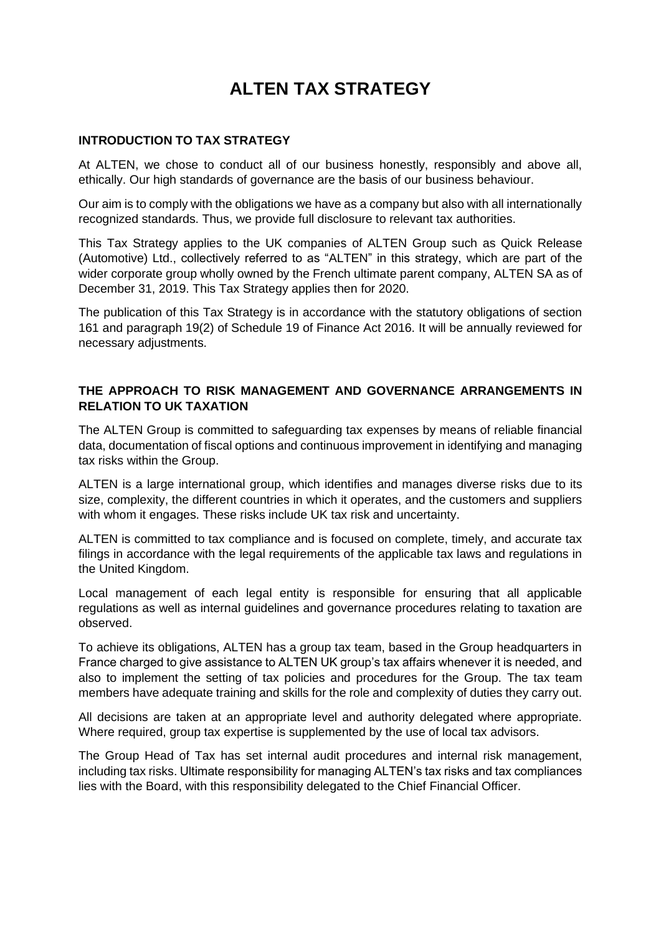# **ALTEN TAX STRATEGY**

#### **INTRODUCTION TO TAX STRATEGY**

At ALTEN, we chose to conduct all of our business honestly, responsibly and above all, ethically. Our high standards of governance are the basis of our business behaviour.

Our aim is to comply with the obligations we have as a company but also with all internationally recognized standards. Thus, we provide full disclosure to relevant tax authorities.

This Tax Strategy applies to the UK companies of ALTEN Group such as Quick Release (Automotive) Ltd., collectively referred to as "ALTEN" in this strategy, which are part of the wider corporate group wholly owned by the French ultimate parent company, ALTEN SA as of December 31, 2019. This Tax Strategy applies then for 2020.

The publication of this Tax Strategy is in accordance with the statutory obligations of section 161 and paragraph 19(2) of Schedule 19 of Finance Act 2016. It will be annually reviewed for necessary adjustments.

### **THE APPROACH TO RISK MANAGEMENT AND GOVERNANCE ARRANGEMENTS IN RELATION TO UK TAXATION**

The ALTEN Group is committed to safeguarding tax expenses by means of reliable financial data, documentation of fiscal options and continuous improvement in identifying and managing tax risks within the Group.

ALTEN is a large international group, which identifies and manages diverse risks due to its size, complexity, the different countries in which it operates, and the customers and suppliers with whom it engages. These risks include UK tax risk and uncertainty.

ALTEN is committed to tax compliance and is focused on complete, timely, and accurate tax filings in accordance with the legal requirements of the applicable tax laws and regulations in the United Kingdom.

Local management of each legal entity is responsible for ensuring that all applicable regulations as well as internal guidelines and governance procedures relating to taxation are observed.

To achieve its obligations, ALTEN has a group tax team, based in the Group headquarters in France charged to give assistance to ALTEN UK group's tax affairs whenever it is needed, and also to implement the setting of tax policies and procedures for the Group. The tax team members have adequate training and skills for the role and complexity of duties they carry out.

All decisions are taken at an appropriate level and authority delegated where appropriate. Where required, group tax expertise is supplemented by the use of local tax advisors.

The Group Head of Tax has set internal audit procedures and internal risk management, including tax risks. Ultimate responsibility for managing ALTEN's tax risks and tax compliances lies with the Board, with this responsibility delegated to the Chief Financial Officer.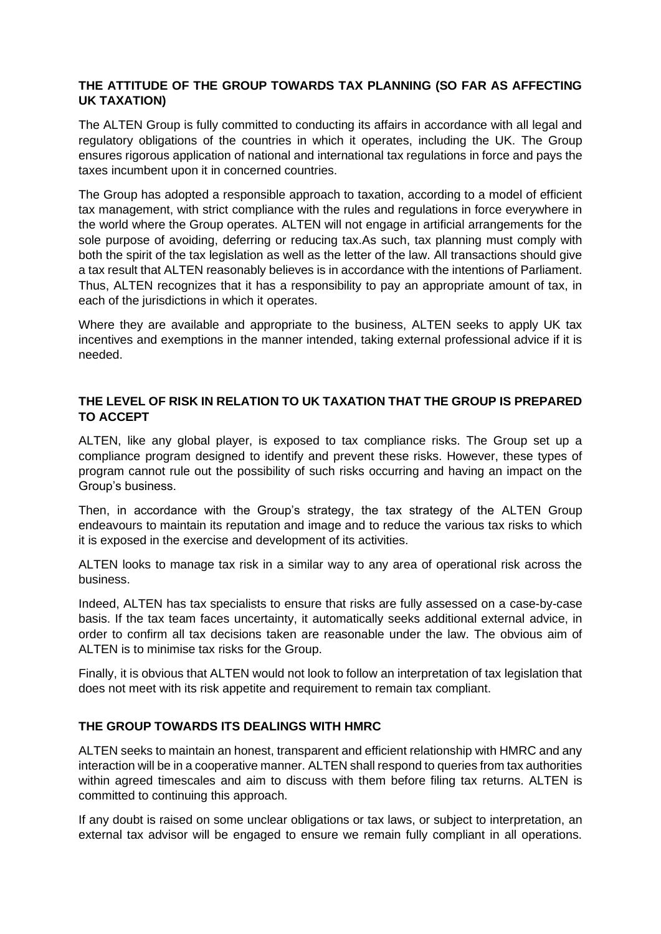### **THE ATTITUDE OF THE GROUP TOWARDS TAX PLANNING (SO FAR AS AFFECTING UK TAXATION)**

The ALTEN Group is fully committed to conducting its affairs in accordance with all legal and regulatory obligations of the countries in which it operates, including the UK. The Group ensures rigorous application of national and international tax regulations in force and pays the taxes incumbent upon it in concerned countries.

The Group has adopted a responsible approach to taxation, according to a model of efficient tax management, with strict compliance with the rules and regulations in force everywhere in the world where the Group operates. ALTEN will not engage in artificial arrangements for the sole purpose of avoiding, deferring or reducing tax.As such, tax planning must comply with both the spirit of the tax legislation as well as the letter of the law. All transactions should give a tax result that ALTEN reasonably believes is in accordance with the intentions of Parliament. Thus, ALTEN recognizes that it has a responsibility to pay an appropriate amount of tax, in each of the jurisdictions in which it operates.

Where they are available and appropriate to the business, ALTEN seeks to apply UK tax incentives and exemptions in the manner intended, taking external professional advice if it is needed.

### **THE LEVEL OF RISK IN RELATION TO UK TAXATION THAT THE GROUP IS PREPARED TO ACCEPT**

ALTEN, like any global player, is exposed to tax compliance risks. The Group set up a compliance program designed to identify and prevent these risks. However, these types of program cannot rule out the possibility of such risks occurring and having an impact on the Group's business.

Then, in accordance with the Group's strategy, the tax strategy of the ALTEN Group endeavours to maintain its reputation and image and to reduce the various tax risks to which it is exposed in the exercise and development of its activities.

ALTEN looks to manage tax risk in a similar way to any area of operational risk across the business.

Indeed, ALTEN has tax specialists to ensure that risks are fully assessed on a case-by-case basis. If the tax team faces uncertainty, it automatically seeks additional external advice, in order to confirm all tax decisions taken are reasonable under the law. The obvious aim of ALTEN is to minimise tax risks for the Group.

Finally, it is obvious that ALTEN would not look to follow an interpretation of tax legislation that does not meet with its risk appetite and requirement to remain tax compliant.

## **THE GROUP TOWARDS ITS DEALINGS WITH HMRC**

ALTEN seeks to maintain an honest, transparent and efficient relationship with HMRC and any interaction will be in a cooperative manner. ALTEN shall respond to queries from tax authorities within agreed timescales and aim to discuss with them before filing tax returns. ALTEN is committed to continuing this approach.

If any doubt is raised on some unclear obligations or tax laws, or subject to interpretation, an external tax advisor will be engaged to ensure we remain fully compliant in all operations.